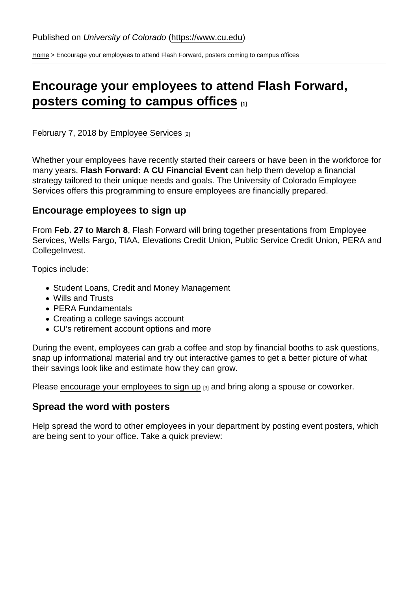[Home](https://www.cu.edu/) > Encourage your employees to attend Flash Forward, posters coming to campus offices

## [Encourage your employees to attend Flash Forward,](https://www.cu.edu/blog/hcm-community/encourage-your-employees-attend-flash-forward-posters-coming-campus-offices)  [posters coming to campus offices](https://www.cu.edu/blog/hcm-community/encourage-your-employees-attend-flash-forward-posters-coming-campus-offices)  $\frac{1}{11}$

February 7, 2018 by [Employee Services](https://www.cu.edu/blog/hcm-community/author/10695) [2]

Whether your employees have recently started their careers or have been in the workforce for many years, Flash Forward: A CU Financial Event can help them develop a financial strategy tailored to their unique needs and goals. The University of Colorado Employee Services offers this programming to ensure employees are financially prepared.

Encourage employees to sign up

From Feb. 27 to March 8 , Flash Forward will bring together presentations from Employee Services, Wells Fargo, TIAA, Elevations Credit Union, Public Service Credit Union, PERA and CollegeInvest.

Topics include:

- Student Loans, Credit and Money Management
- Wills and Trusts
- PERA Fundamentals
- Creating a college savings account
- CU's retirement account options and more

During the event, employees can grab a coffee and stop by financial booths to ask questions, snap up informational material and try out interactive games to get a better picture of what their savings look like and estimate how they can grow.

Please [encourage your employees to sign up](https://www.cu.edu/employee-services/flash-forward-retirement-event) [3] and bring along a spouse or coworker.

## Spread the word with posters

Help spread the word to other employees in your department by posting event posters, which are being sent to your office. Take a quick preview: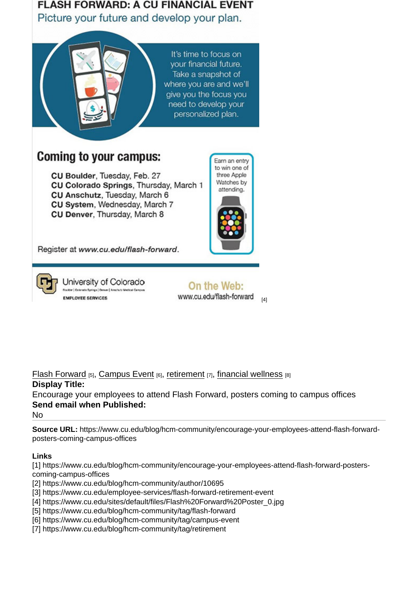[Flash Forward](https://www.cu.edu/blog/hcm-community/tag/flash-forward) [5], [Campus Event](https://www.cu.edu/blog/hcm-community/tag/campus-event) [6], [retirement](https://www.cu.edu/blog/hcm-community/tag/retirement) [7], [financial wellness](https://www.cu.edu/blog/hcm-community/tag/financial-wellness) [8] Display Title: Encourage your employees to attend Flash Forward, posters coming to campus offices Send email when Published: No

Source URL: https://www.cu.edu/blog/hcm-community/encourage-your-employees-attend-flash-forwardposters-coming-campus-offices

Links

[1] https://www.cu.edu/blog/hcm-community/encourage-your-employees-attend-flash-forward-posterscoming-campus-offices

[2] https://www.cu.edu/blog/hcm-community/author/10695

[3] https://www.cu.edu/employee-services/flash-forward-retirement-event

[4] https://www.cu.edu/sites/default/files/Flash%20Forward%20Poster\_0.jpg

[5] https://www.cu.edu/blog/hcm-community/tag/flash-forward

[6] https://www.cu.edu/blog/hcm-community/tag/campus-event

[7] https://www.cu.edu/blog/hcm-community/tag/retirement